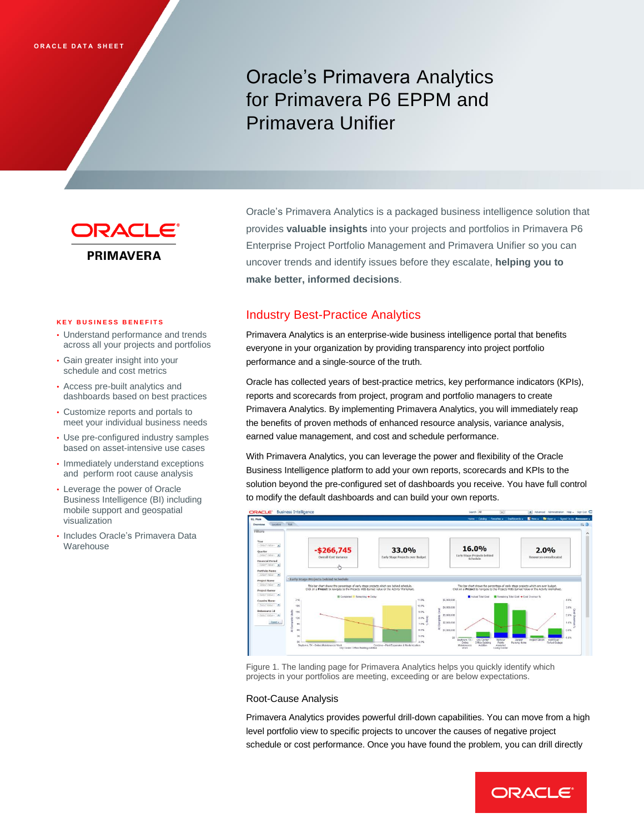# Oracle's Primavera Analytics for Primavera P6 EPPM and Primavera Unifier



Oracle's Primavera Analytics is a packaged business intelligence solution that provides **valuable insights** into your projects and portfolios in Primavera P6 Enterprise Project Portfolio Management and Primavera Unifier so you can uncover trends and identify issues before they escalate, **helping you to make better, informed decisions**.

#### **K E Y B U S I N E S S B E N E F I T S**

- Understand performance and trends across all your projects and portfolios
- Gain greater insight into your schedule and cost metrics
- Access pre-built analytics and dashboards based on best practices
- Customize reports and portals to meet your individual business needs
- Use pre-configured industry samples based on asset-intensive use cases
- Immediately understand exceptions and perform root cause analysis
- Leverage the power of Oracle Business Intelligence (BI) including mobile support and geospatial visualization
- Includes Oracle's Primavera Data Warehouse

# Industry Best-Practice Analytics

Primavera Analytics is an enterprise-wide business intelligence portal that benefits everyone in your organization by providing transparency into project portfolio performance and a single-source of the truth.

Oracle has collected years of best-practice metrics, key performance indicators (KPIs), reports and scorecards from project, program and portfolio managers to create Primavera Analytics. By implementing Primavera Analytics, you will immediately reap the benefits of proven methods of enhanced resource analysis, variance analysis, earned value management, and cost and schedule performance.

With Primavera Analytics, you can leverage the power and flexibility of the Oracle Business Intelligence platform to add your own reports, scorecards and KPIs to the solution beyond the pre-configured set of dashboards you receive. You have full control to modify the default dashboards and can build your own reports.



Figure 1. The landing page for Primavera Analytics helps you quickly identify which projects in your portfolios are meeting, exceeding or are below expectations.

## Root-Cause Analysis

Primavera Analytics provides powerful drill-down capabilities. You can move from a high level portfolio view to specific projects to uncover the causes of negative project schedule or cost performance. Once you have found the problem, you can drill directly

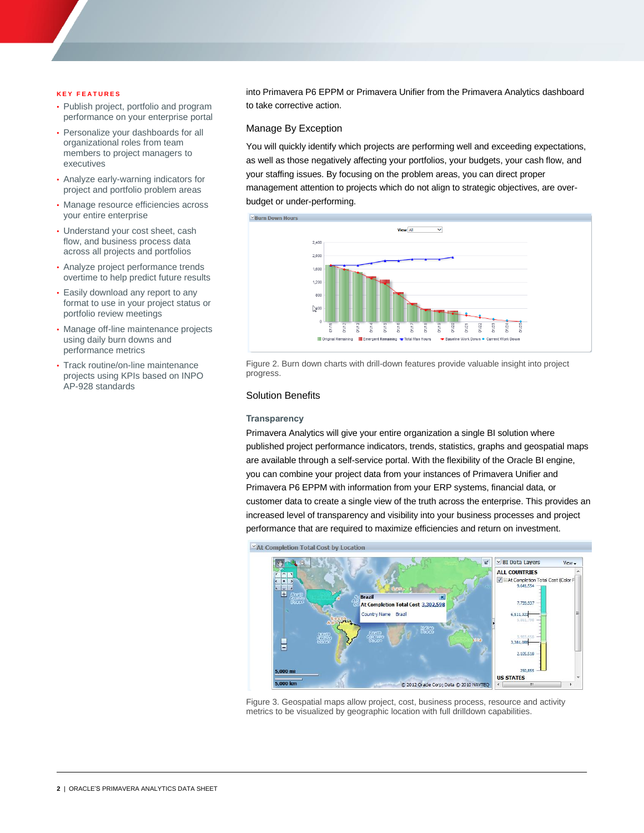#### **K E Y F E A T U R E S**

- Publish project, portfolio and program performance on your enterprise portal
- Personalize your dashboards for all organizational roles from team members to project managers to executives
- Analyze early-warning indicators for project and portfolio problem areas
- Manage resource efficiencies across your entire enterprise
- Understand your cost sheet, cash flow, and business process data across all projects and portfolios
- Analyze project performance trends overtime to help predict future results
- Easily download any report to any format to use in your project status or portfolio review meetings
- Manage off-line maintenance projects using daily burn downs and performance metrics
- Track routine/on-line maintenance projects using KPIs based on INPO AP-928 standards

into Primavera P6 EPPM or Primavera Unifier from the Primavera Analytics dashboard to take corrective action.

## Manage By Exception

You will quickly identify which projects are performing well and exceeding expectations, as well as those negatively affecting your portfolios, your budgets, your cash flow, and your staffing issues. By focusing on the problem areas, you can direct proper management attention to projects which do not align to strategic objectives, are overbudget or under-performing.



Figure 2. Burn down charts with drill-down features provide valuable insight into project progress.

## Solution Benefits

#### **Transparency**

Primavera Analytics will give your entire organization a single BI solution where published project performance indicators, trends, statistics, graphs and geospatial maps are available through a self-service portal. With the flexibility of the Oracle BI engine, you can combine your project data from your instances of Primavera Unifier and Primavera P6 EPPM with information from your ERP systems, financial data, or customer data to create a single view of the truth across the enterprise. This provides an increased level of transparency and visibility into your business processes and project performance that are required to maximize efficiencies and return on investment.





Figure 3. Geospatial maps allow project, cost, business process, resource and activity metrics to be visualized by geographic location with full drilldown capabilities.